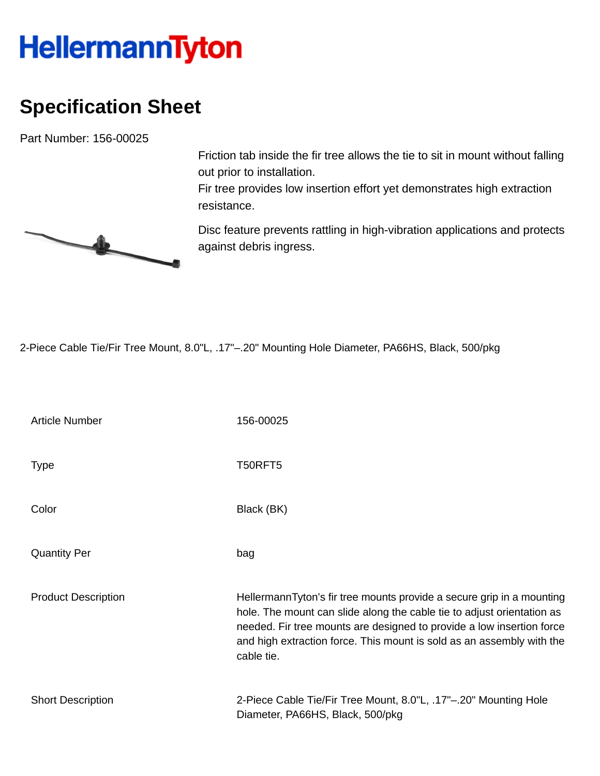## **HellermannTyton**

## **Specification Sheet**

Part Number: 156-00025

Friction tab inside the fir tree allows the tie to sit in mount without falling out prior to installation.

Fir tree provides low insertion effort yet demonstrates high extraction resistance.

Disc feature prevents rattling in high-vibration applications and protects against debris ingress.

2-Piece Cable Tie/Fir Tree Mount, 8.0"L, .17"–.20" Mounting Hole Diameter, PA66HS, Black, 500/pkg

| <b>Article Number</b>      | 156-00025                                                                                                                                                                                                                                                                                                       |
|----------------------------|-----------------------------------------------------------------------------------------------------------------------------------------------------------------------------------------------------------------------------------------------------------------------------------------------------------------|
| <b>Type</b>                | T50RFT5                                                                                                                                                                                                                                                                                                         |
| Color                      | Black (BK)                                                                                                                                                                                                                                                                                                      |
| <b>Quantity Per</b>        | bag                                                                                                                                                                                                                                                                                                             |
| <b>Product Description</b> | HellermannTyton's fir tree mounts provide a secure grip in a mounting<br>hole. The mount can slide along the cable tie to adjust orientation as<br>needed. Fir tree mounts are designed to provide a low insertion force<br>and high extraction force. This mount is sold as an assembly with the<br>cable tie. |
| <b>Short Description</b>   | 2-Piece Cable Tie/Fir Tree Mount, 8.0"L, .17"-.20" Mounting Hole<br>Diameter, PA66HS, Black, 500/pkg                                                                                                                                                                                                            |

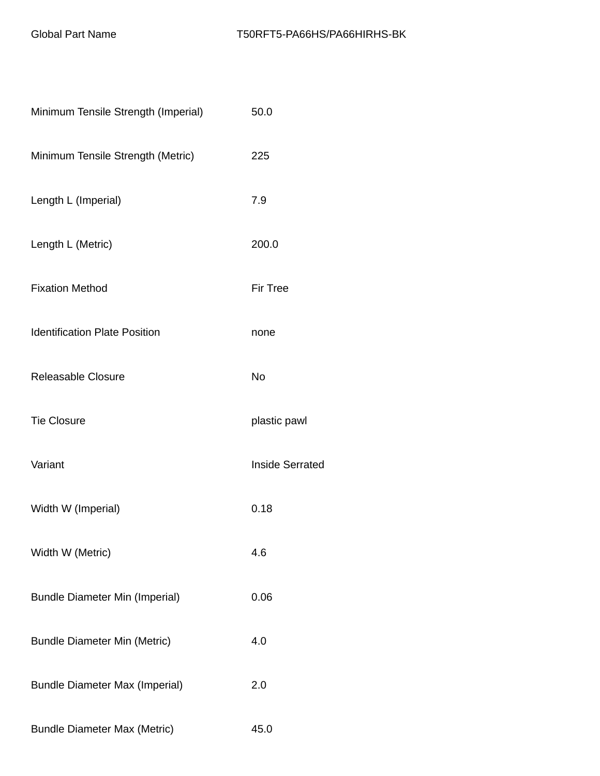| Minimum Tensile Strength (Imperial)   | 50.0                   |
|---------------------------------------|------------------------|
| Minimum Tensile Strength (Metric)     | 225                    |
| Length L (Imperial)                   | 7.9                    |
| Length L (Metric)                     | 200.0                  |
| <b>Fixation Method</b>                | <b>Fir Tree</b>        |
| <b>Identification Plate Position</b>  | none                   |
| <b>Releasable Closure</b>             | No                     |
| <b>Tie Closure</b>                    | plastic pawl           |
| Variant                               | <b>Inside Serrated</b> |
| Width W (Imperial)                    | 0.18                   |
| Width W (Metric)                      | 4.6                    |
| <b>Bundle Diameter Min (Imperial)</b> | 0.06                   |
| <b>Bundle Diameter Min (Metric)</b>   | 4.0                    |
| <b>Bundle Diameter Max (Imperial)</b> | 2.0                    |
| <b>Bundle Diameter Max (Metric)</b>   | 45.0                   |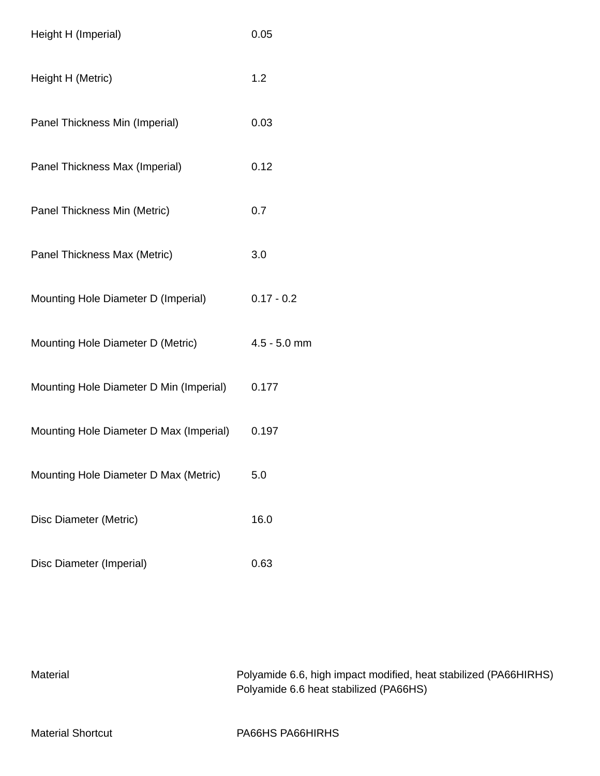| Height H (Imperial)                     | 0.05           |
|-----------------------------------------|----------------|
| Height H (Metric)                       | 1.2            |
| Panel Thickness Min (Imperial)          | 0.03           |
| Panel Thickness Max (Imperial)          | 0.12           |
| Panel Thickness Min (Metric)            | 0.7            |
| Panel Thickness Max (Metric)            | 3.0            |
| Mounting Hole Diameter D (Imperial)     | $0.17 - 0.2$   |
| Mounting Hole Diameter D (Metric)       | $4.5 - 5.0$ mm |
| Mounting Hole Diameter D Min (Imperial) | 0.177          |
| Mounting Hole Diameter D Max (Imperial) | 0.197          |
| Mounting Hole Diameter D Max (Metric)   | 5.0            |
| Disc Diameter (Metric)                  | 16.0           |
| Disc Diameter (Imperial)                | 0.63           |

| Material                 | Polyamide 6.6, high impact modified, heat stabilized (PA66HIRHS) |
|--------------------------|------------------------------------------------------------------|
|                          | Polyamide 6.6 heat stabilized (PA66HS)                           |
| <b>Material Shortcut</b> | PA66HS PA66HIRHS                                                 |